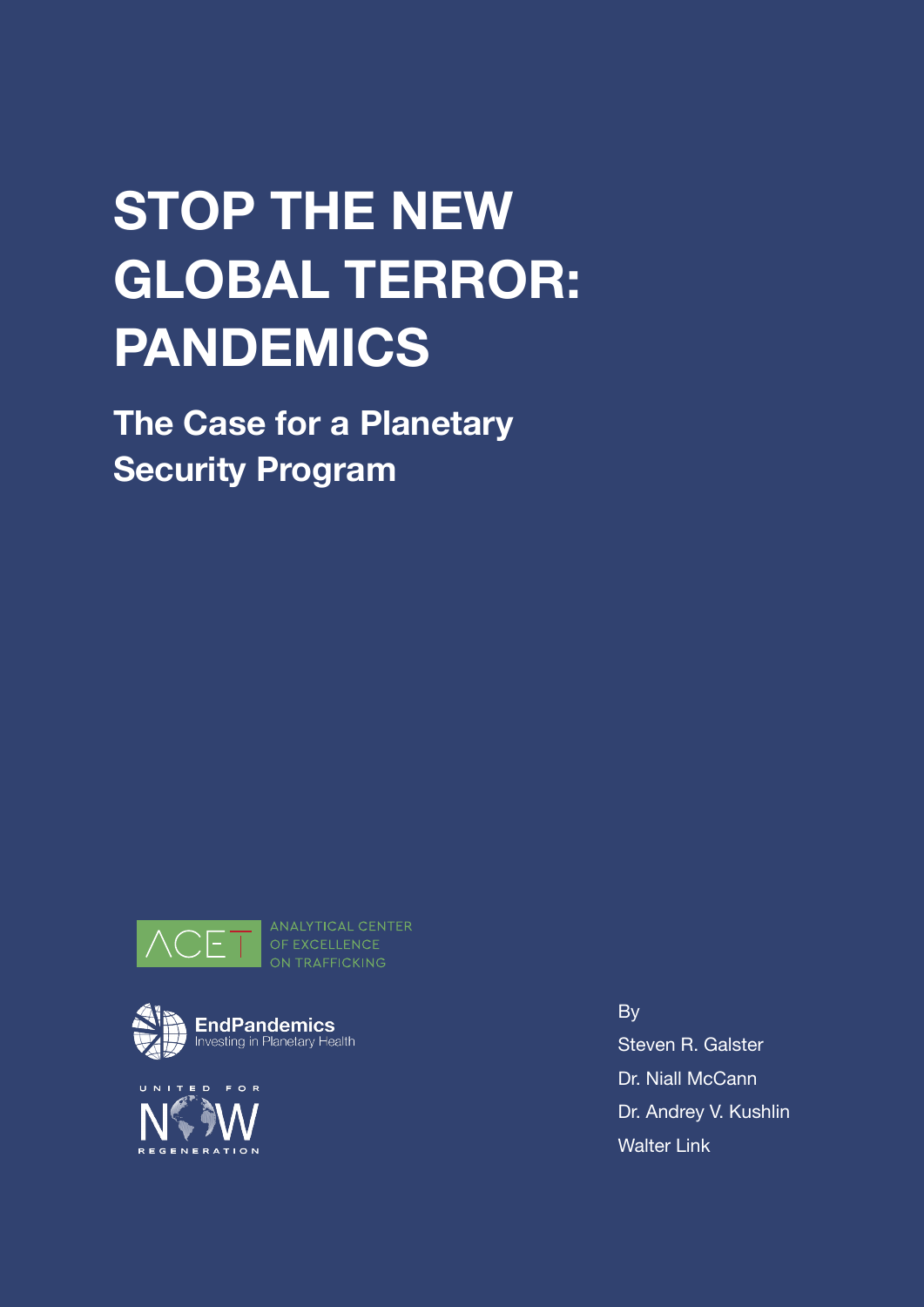# **STOP THE NEW GLOBAL TERROR: PANDEMICS**

**The Case for a Planetary Security Program**



OF EXCELLENCE ON TRAFFICKING





By Steven R. Galster Dr. Niall McCann Dr. Andrey V. Kushlin Walter Link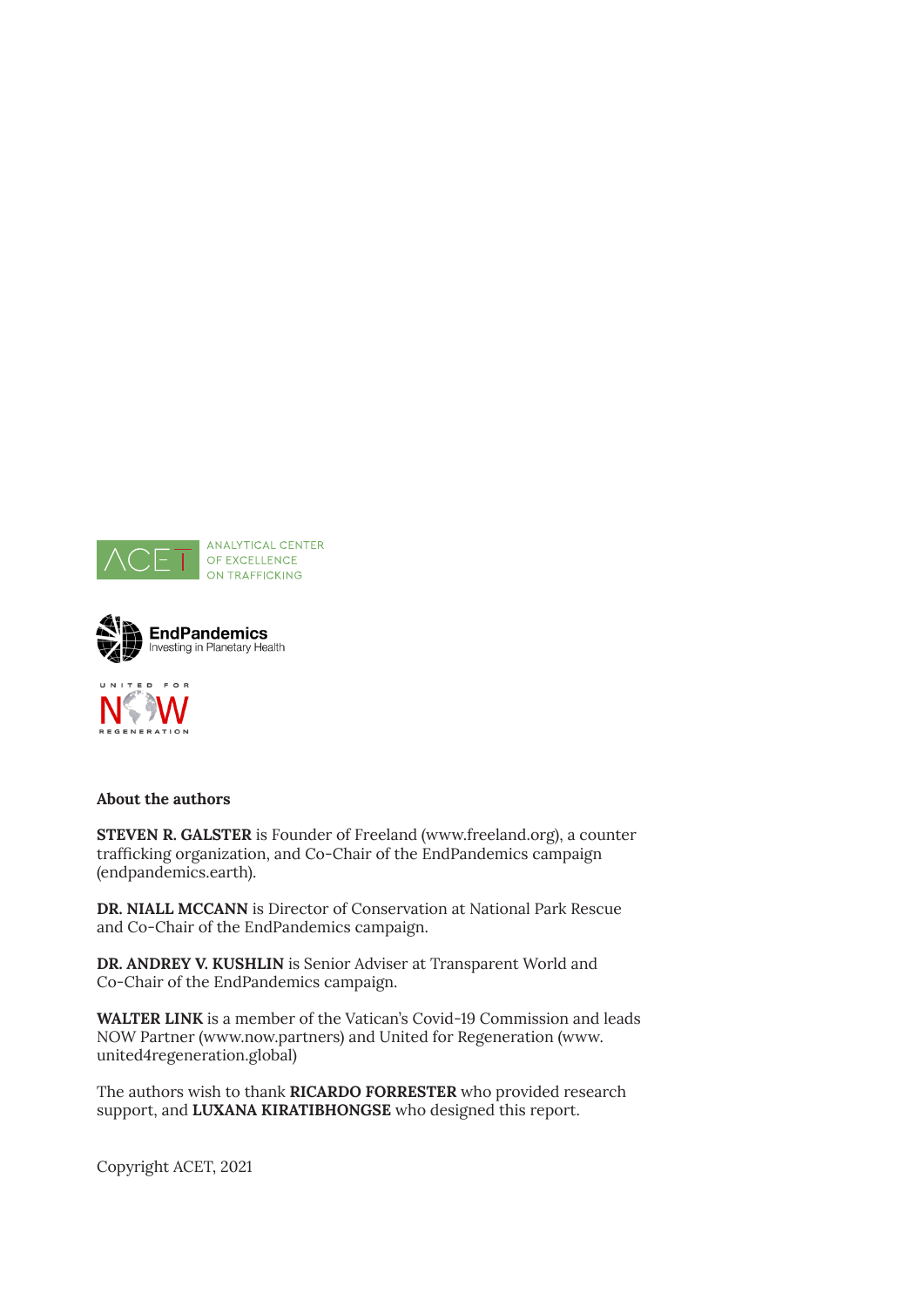





### **About the authors**

**STEVEN R. GALSTER** is Founder of Freeland [\(www.freeland.org](http://www.freeland.org)), a counter trafficking organization, and Co-Chair of the EndPandemics campaign (endpandemics.earth).

**DR. NIALL MCCANN** is Director of Conservation at National Park Rescue and Co-Chair of the EndPandemics campaign.

**DR. ANDREY V. KUSHLIN** is Senior Adviser at Transparent World and Co-Chair of the EndPandemics campaign.

**WALTER LINK** is a member of the Vatican's Covid-19 Commission and leads NOW Partner (www.now.partners) and United for Regeneration (www. united4regeneration.global)

The authors wish to thank **RICARDO FORRESTER** who provided research support, and **LUXANA KIRATIBHONGSE** who designed this report.

Copyright ACET, 2021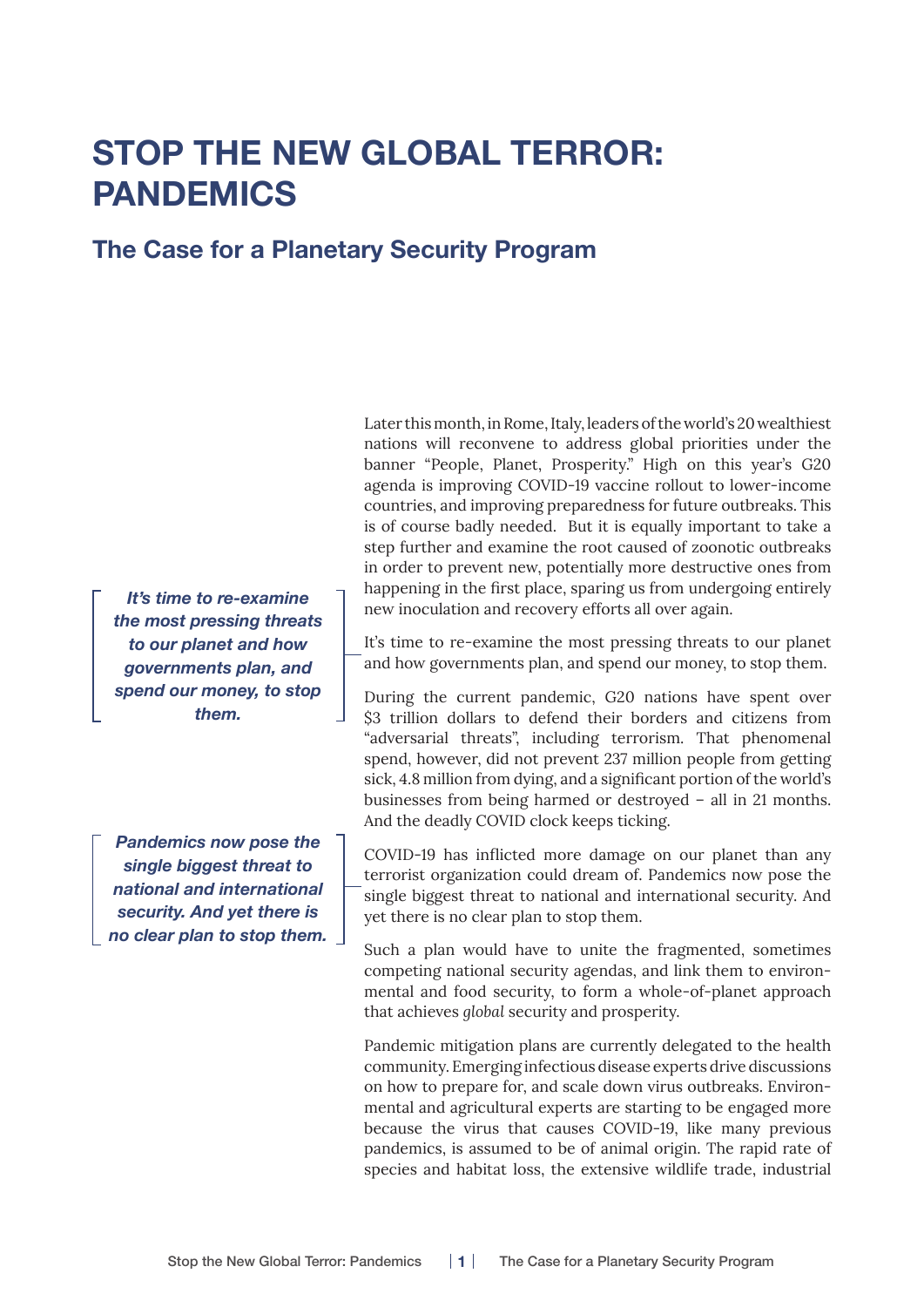# **STOP THE NEW GLOBAL TERROR: PANDEMICS**

## **The Case for a Planetary Security Program**

*It's time to re-examine the most pressing threats to our planet and how governments plan, and spend our money, to stop them.*

*Pandemics now pose the single biggest threat to national and international security. And yet there is no clear plan to stop them.* Later this month, in Rome, Italy, leaders of the world's 20 wealthiest nations will reconvene to address global priorities under the banner "People, Planet, Prosperity." High on this year's G20 agenda is improving COVID-19 vaccine rollout to lower-income countries, and improving preparedness for future outbreaks. This is of course badly needed. But it is equally important to take a step further and examine the root caused of zoonotic outbreaks in order to prevent new, potentially more destructive ones from happening in the first place, sparing us from undergoing entirely new inoculation and recovery efforts all over again.

It's time to re-examine the most pressing threats to our planet and how governments plan, and spend our money, to stop them.

During the current pandemic, G20 nations have spent over \$3 trillion dollars to defend their borders and citizens from "adversarial threats", including terrorism. That phenomenal spend, however, did not prevent 237 million people from getting sick, 4.8 million from dying, and a significant portion of the world's businesses from being harmed or destroyed – all in 21 months. And the deadly COVID clock keeps ticking.

COVID-19 has inflicted more damage on our planet than any terrorist organization could dream of. Pandemics now pose the single biggest threat to national and international security. And yet there is no clear plan to stop them.

Such a plan would have to unite the fragmented, sometimes competing national security agendas, and link them to environmental and food security, to form a whole-of-planet approach that achieves *global* security and prosperity.

Pandemic mitigation plans are currently delegated to the health community. Emerging infectious disease experts drive discussions on how to prepare for, and scale down virus outbreaks. Environmental and agricultural experts are starting to be engaged more because the virus that causes COVID-19, like many previous pandemics, is assumed to be of animal origin. The rapid rate of species and habitat loss, the extensive wildlife trade, industrial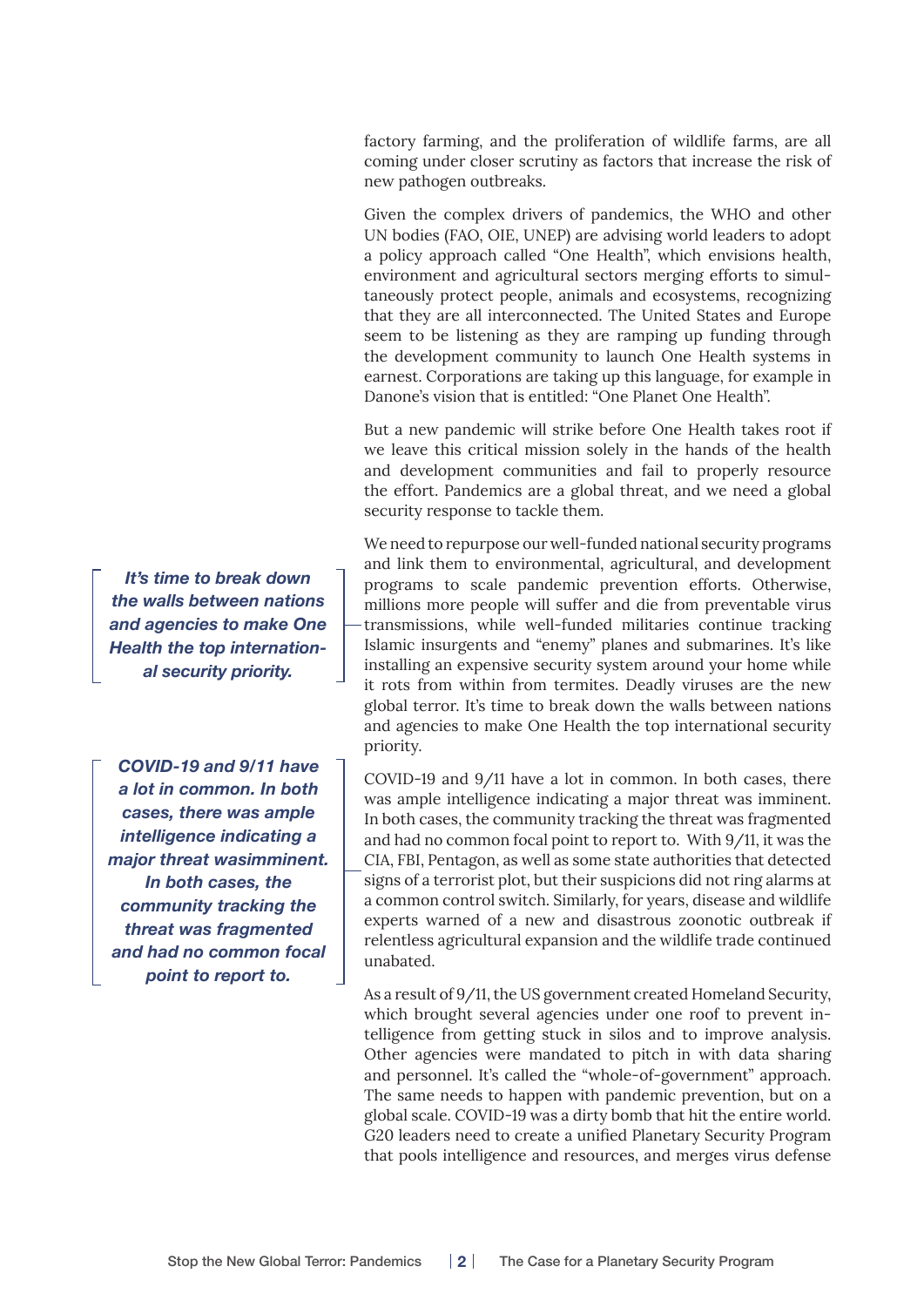factory farming, and the proliferation of wildlife farms, are all coming under closer scrutiny as factors that increase the risk of new pathogen outbreaks.

Given the complex drivers of pandemics, the WHO and other UN bodies (FAO, OIE, UNEP) are advising world leaders to adopt a policy approach called "One Health", which envisions health, environment and agricultural sectors merging efforts to simultaneously protect people, animals and ecosystems, recognizing that they are all interconnected. The United States and Europe seem to be listening as they are ramping up funding through the development community to launch One Health systems in earnest. Corporations are taking up this language, for example in Danone's vision that is entitled: "One Planet One Health".

But a new pandemic will strike before One Health takes root if we leave this critical mission solely in the hands of the health and development communities and fail to properly resource the effort. Pandemics are a global threat, and we need a global security response to tackle them.

We need to repurpose our well-funded national security programs and link them to environmental, agricultural, and development programs to scale pandemic prevention efforts. Otherwise, millions more people will suffer and die from preventable virus transmissions, while well-funded militaries continue tracking Islamic insurgents and "enemy" planes and submarines. It's like installing an expensive security system around your home while it rots from within from termites. Deadly viruses are the new global terror. It's time to break down the walls between nations and agencies to make One Health the top international security priority.

COVID-19 and 9/11 have a lot in common. In both cases, there was ample intelligence indicating a major threat was imminent. In both cases, the community tracking the threat was fragmented and had no common focal point to report to. With 9/11, it was the CIA, FBI, Pentagon, as well as some state authorities that detected signs of a terrorist plot, but their suspicions did not ring alarms at a common control switch. Similarly, for years, disease and wildlife experts warned of a new and disastrous zoonotic outbreak if relentless agricultural expansion and the wildlife trade continued unabated.

As a result of 9/11, the US government created Homeland Security, which brought several agencies under one roof to prevent intelligence from getting stuck in silos and to improve analysis. Other agencies were mandated to pitch in with data sharing and personnel. It's called the "whole-of-government" approach. The same needs to happen with pandemic prevention, but on a global scale. COVID-19 was a dirty bomb that hit the entire world. G20 leaders need to create a unified Planetary Security Program that pools intelligence and resources, and merges virus defense

*It's time to break down the walls between nations and agencies to make One Health the top international security priority.*

*COVID-19 and 9/11 have a lot in common. In both cases, there was ample intelligence indicating a major threat wasimminent. In both cases, the community tracking the threat was fragmented and had no common focal point to report to.*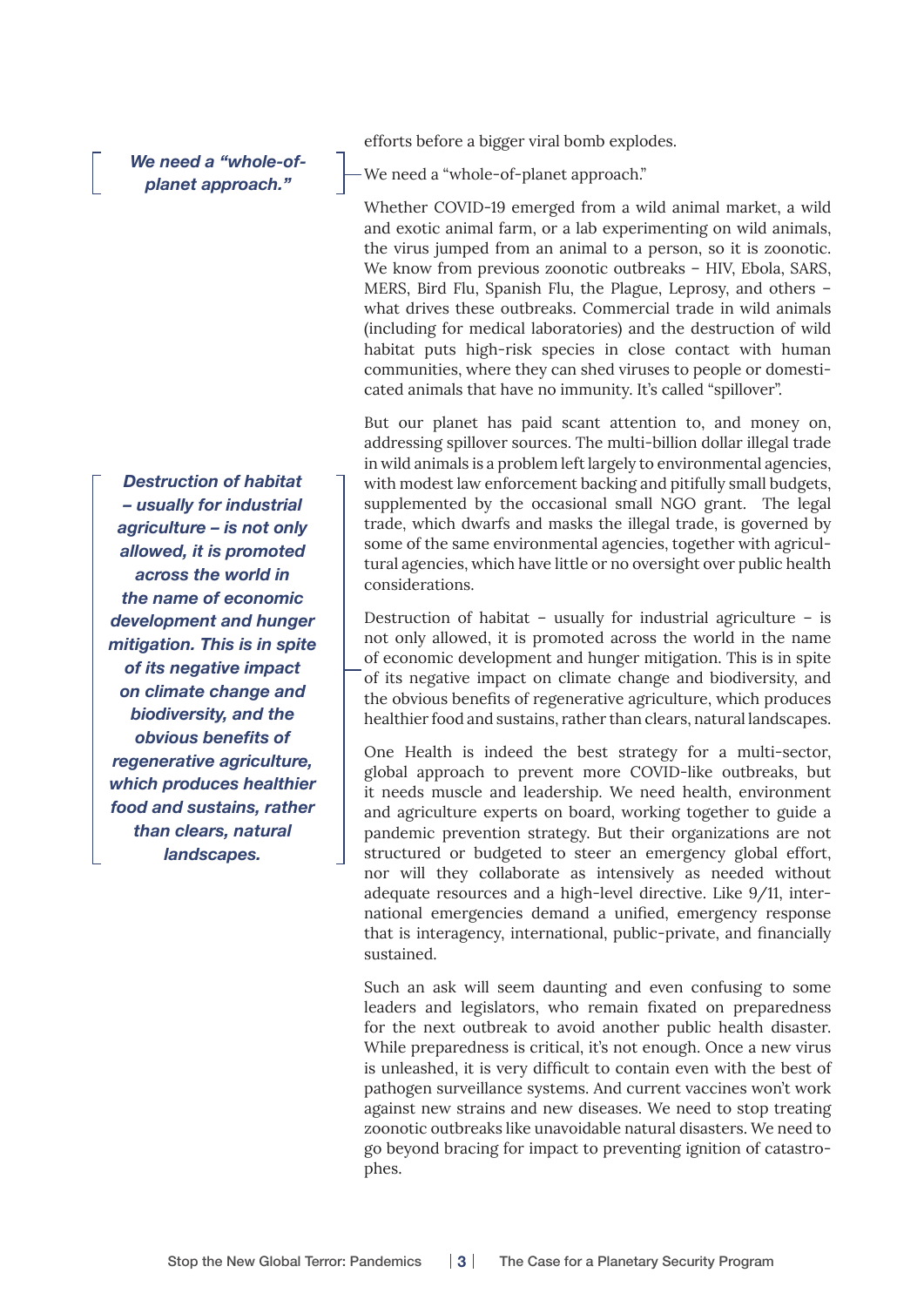*We need a "whole-ofplanet approach."* 

*Destruction of habitat – usually for industrial agriculture – is not only allowed, it is promoted across the world in the name of economic development and hunger mitigation. This is in spite of its negative impact on climate change and biodiversity, and the obvious benefits of regenerative agriculture, which produces healthier food and sustains, rather than clears, natural landscapes.* 

efforts before a bigger viral bomb explodes.

We need a "whole-of-planet approach."

Whether COVID-19 emerged from a wild animal market, a wild and exotic animal farm, or a lab experimenting on wild animals, the virus jumped from an animal to a person, so it is zoonotic. We know from previous zoonotic outbreaks – HIV, Ebola, SARS, MERS, Bird Flu, Spanish Flu, the Plague, Leprosy, and others – what drives these outbreaks. Commercial trade in wild animals (including for medical laboratories) and the destruction of wild habitat puts high-risk species in close contact with human communities, where they can shed viruses to people or domesticated animals that have no immunity. It's called "spillover".

But our planet has paid scant attention to, and money on, addressing spillover sources. The multi-billion dollar illegal trade in wild animals is a problem left largely to environmental agencies, with modest law enforcement backing and pitifully small budgets, supplemented by the occasional small NGO grant. The legal trade, which dwarfs and masks the illegal trade, is governed by some of the same environmental agencies, together with agricultural agencies, which have little or no oversight over public health considerations.

Destruction of habitat – usually for industrial agriculture – is not only allowed, it is promoted across the world in the name of economic development and hunger mitigation. This is in spite of its negative impact on climate change and biodiversity, and the obvious benefits of regenerative agriculture, which produces healthier food and sustains, rather than clears, natural landscapes.

One Health is indeed the best strategy for a multi-sector, global approach to prevent more COVID-like outbreaks, but it needs muscle and leadership. We need health, environment and agriculture experts on board, working together to guide a pandemic prevention strategy. But their organizations are not structured or budgeted to steer an emergency global effort, nor will they collaborate as intensively as needed without adequate resources and a high-level directive. Like 9/11, international emergencies demand a unified, emergency response that is interagency, international, public-private, and financially sustained.

Such an ask will seem daunting and even confusing to some leaders and legislators, who remain fixated on preparedness for the next outbreak to avoid another public health disaster. While preparedness is critical, it's not enough. Once a new virus is unleashed, it is very difficult to contain even with the best of pathogen surveillance systems. And current vaccines won't work against new strains and new diseases. We need to stop treating zoonotic outbreaks like unavoidable natural disasters. We need to go beyond bracing for impact to preventing ignition of catastrophes.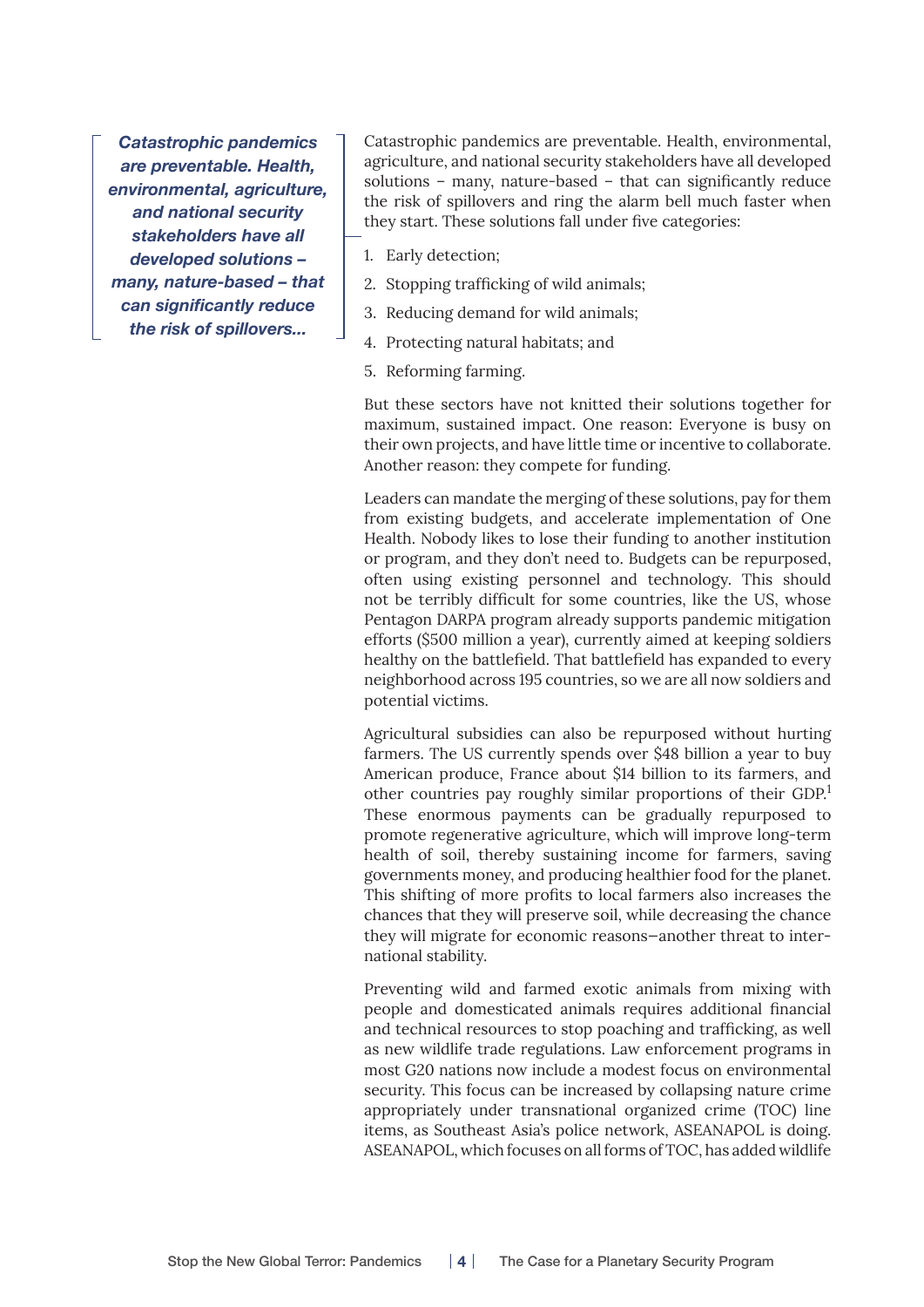*Catastrophic pandemics are preventable. Health, environmental, agriculture, and national security stakeholders have all developed solutions – many, nature-based – that can significantly reduce the risk of spillovers...*

Catastrophic pandemics are preventable. Health, environmental, agriculture, and national security stakeholders have all developed solutions – many, nature-based – that can significantly reduce the risk of spillovers and ring the alarm bell much faster when they start. These solutions fall under five categories:

- 1. Early detection;
- 2. Stopping trafficking of wild animals;
- 3. Reducing demand for wild animals;
- 4. Protecting natural habitats; and
- 5. Reforming farming.

But these sectors have not knitted their solutions together for maximum, sustained impact. One reason: Everyone is busy on their own projects, and have little time or incentive to collaborate. Another reason: they compete for funding.

Leaders can mandate the merging of these solutions, pay for them from existing budgets, and accelerate implementation of One Health. Nobody likes to lose their funding to another institution or program, and they don't need to. Budgets can be repurposed, often using existing personnel and technology. This should not be terribly difficult for some countries, like the US, whose Pentagon DARPA program already supports pandemic mitigation efforts (\$500 million a year), currently aimed at keeping soldiers healthy on the battlefield. That battlefield has expanded to every neighborhood across 195 countries, so we are all now soldiers and potential victims.

Agricultural subsidies can also be repurposed without hurting farmers. The US currently spends over \$48 billion a year to buy American produce, France about \$14 billion to its farmers, and other countries pay roughly similar proportions of their GDP.<sup>1</sup> These enormous payments can be gradually repurposed to promote regenerative agriculture, which will improve long-term health of soil, thereby sustaining income for farmers, saving governments money, and producing healthier food for the planet. This shifting of more profits to local farmers also increases the chances that they will preserve soil, while decreasing the chance they will migrate for economic reasons—another threat to international stability.

Preventing wild and farmed exotic animals from mixing with people and domesticated animals requires additional financial and technical resources to stop poaching and trafficking, as well as new wildlife trade regulations. Law enforcement programs in most G20 nations now include a modest focus on environmental security. This focus can be increased by collapsing nature crime appropriately under transnational organized crime (TOC) line items, as Southeast Asia's police network, ASEANAPOL is doing. ASEANAPOL, which focuses on all forms of TOC, has added wildlife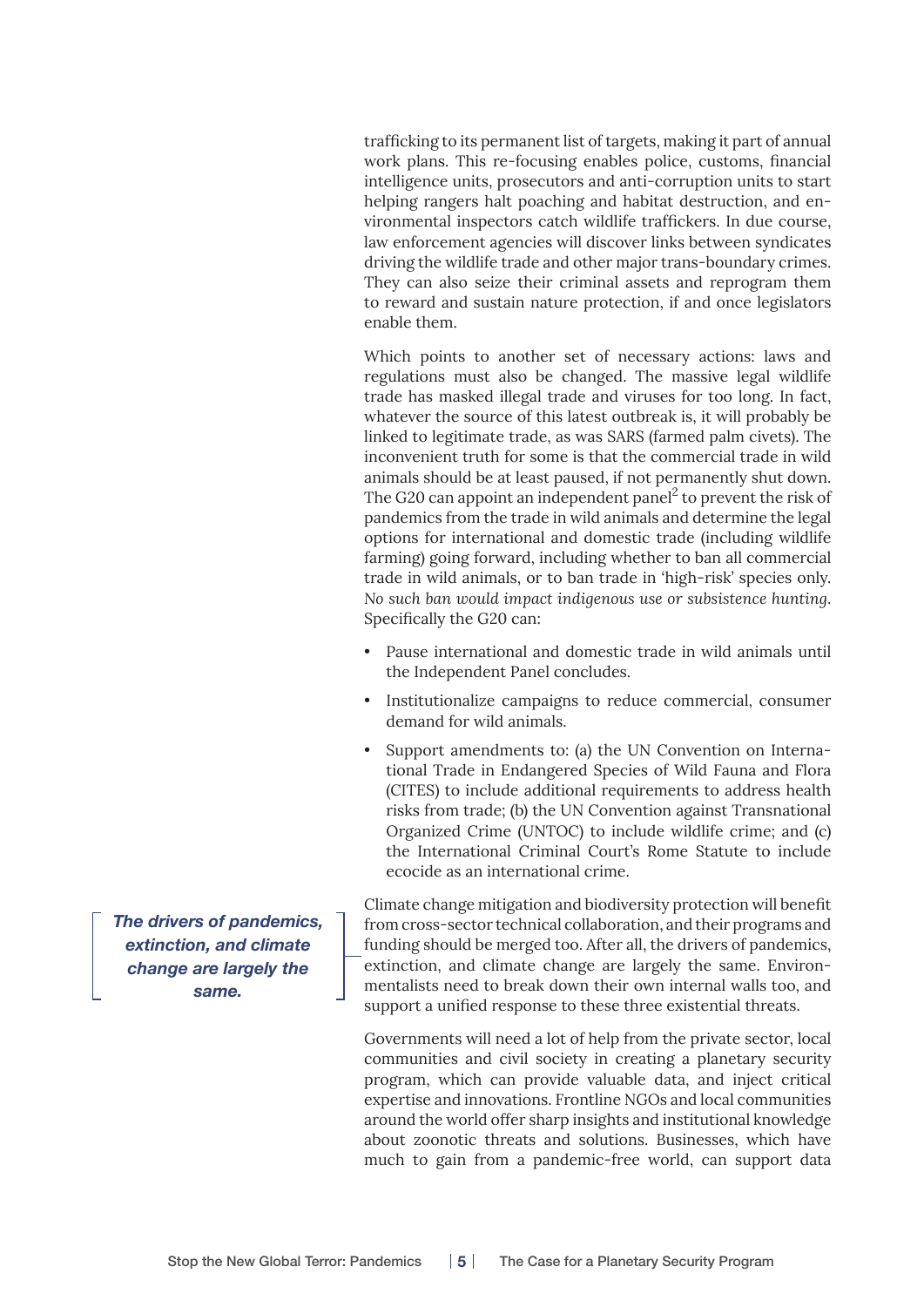trafficking to its permanent list of targets, making it part of annual work plans. This re-focusing enables police, customs, financial intelligence units, prosecutors and anti-corruption units to start helping rangers halt poaching and habitat destruction, and environmental inspectors catch wildlife traffickers. In due course, law enforcement agencies will discover links between syndicates driving the wildlife trade and other major trans-boundary crimes. They can also seize their criminal assets and reprogram them to reward and sustain nature protection, if and once legislators enable them.

Which points to another set of necessary actions: laws and regulations must also be changed. The massive legal wildlife trade has masked illegal trade and viruses for too long. In fact, whatever the source of this latest outbreak is, it will probably be linked to legitimate trade, as was SARS (farmed palm civets). The inconvenient truth for some is that the commercial trade in wild animals should be at least paused, if not permanently shut down. The G20 can appoint an independent panel<sup>2</sup> to prevent the risk of pandemics from the trade in wild animals and determine the legal options for international and domestic trade (including wildlife farming) going forward, including whether to ban all commercial trade in wild animals, or to ban trade in 'high-risk' species only. *No such ban would impact indigenous use or subsistence hunting*. Specifically the G20 can:

- Pause international and domestic trade in wild animals until the Independent Panel concludes.
- Institutionalize campaigns to reduce commercial, consumer demand for wild animals.
- Support amendments to: (a) the UN Convention on International Trade in Endangered Species of Wild Fauna and Flora (CITES) to include additional requirements to address health risks from trade; (b) the UN Convention against Transnational Organized Crime (UNTOC) to include wildlife crime; and (c) the International Criminal Court's Rome Statute to include ecocide as an international crime.

Climate change mitigation and biodiversity protection will benefit from cross-sector technical collaboration, and their programs and funding should be merged too. After all, the drivers of pandemics, extinction, and climate change are largely the same. Environmentalists need to break down their own internal walls too, and support a unified response to these three existential threats.

Governments will need a lot of help from the private sector, local communities and civil society in creating a planetary security program, which can provide valuable data, and inject critical expertise and innovations. Frontline NGOs and local communities around the world offer sharp insights and institutional knowledge about zoonotic threats and solutions. Businesses, which have much to gain from a pandemic-free world, can support data

*The drivers of pandemics, extinction, and climate change are largely the same.*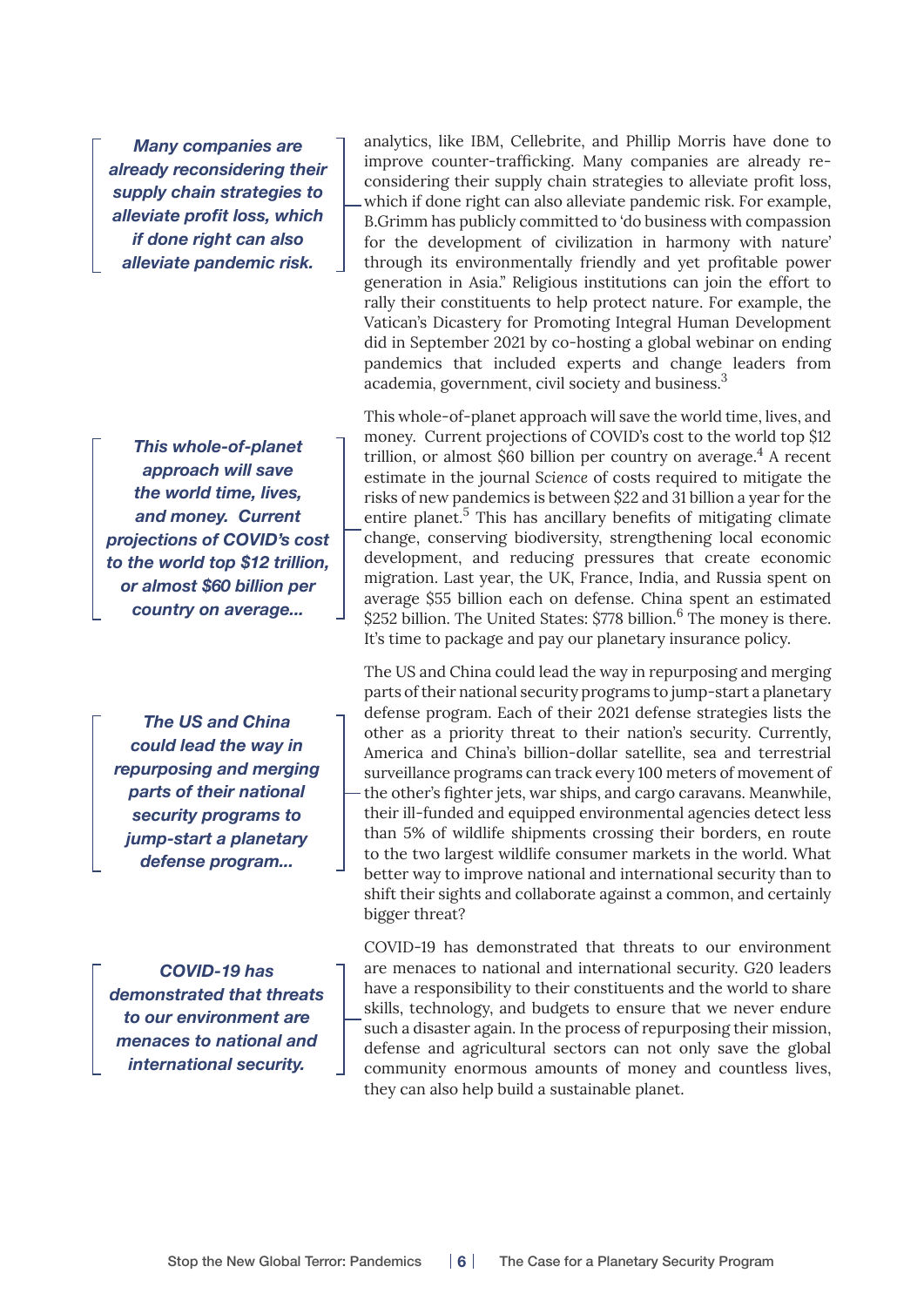*Many companies are already reconsidering their supply chain strategies to alleviate profit loss, which if done right can also alleviate pandemic risk.*

*This whole-of-planet approach will save the world time, lives, and money. Current projections of COVID's cost to the world top \$12 trillion, or almost \$60 billion per country on average...*

*The US and China could lead the way in repurposing and merging parts of their national security programs to jump-start a planetary defense program...*

*COVID-19 has demonstrated that threats to our environment are menaces to national and international security.*

analytics, like IBM, Cellebrite, and Phillip Morris have done to improve counter-trafficking. Many companies are already reconsidering their supply chain strategies to alleviate profit loss, which if done right can also alleviate pandemic risk. For example, B.Grimm has publicly committed to 'do business with compassion for the development of civilization in harmony with nature' through its environmentally friendly and yet profitable power generation in Asia." Religious institutions can join the effort to rally their constituents to help protect nature. For example, the Vatican's Dicastery for Promoting Integral Human Development did in September 2021 by co-hosting a global webinar on ending pandemics that included experts and change leaders from academia, government, civil society and business.<sup>3</sup>

This whole-of-planet approach will save the world time, lives, and money. Current projections of COVID's cost to the world top \$12 trillion, or almost \$60 billion per country on average.<sup>4</sup> A recent estimate in the journal *Science* of costs required to mitigate the risks of new pandemics is between \$22 and 31 billion a year for the entire planet.<sup>5</sup> This has ancillary benefits of mitigating climate change, conserving biodiversity, strengthening local economic development, and reducing pressures that create economic migration. Last year, the UK, France, India, and Russia spent on average \$55 billion each on defense. China spent an estimated \$252 billion. The United States: \$778 billion.<sup>6</sup> The money is there. It's time to package and pay our planetary insurance policy.

The US and China could lead the way in repurposing and merging parts of their national security programs to jump-start a planetary defense program. Each of their 2021 defense strategies lists the other as a priority threat to their nation's security. Currently, America and China's billion-dollar satellite, sea and terrestrial surveillance programs can track every 100 meters of movement of the other's fighter jets, war ships, and cargo caravans. Meanwhile, their ill-funded and equipped environmental agencies detect less than 5% of wildlife shipments crossing their borders, en route to the two largest wildlife consumer markets in the world. What better way to improve national and international security than to shift their sights and collaborate against a common, and certainly bigger threat?

COVID-19 has demonstrated that threats to our environment are menaces to national and international security. G20 leaders have a responsibility to their constituents and the world to share skills, technology, and budgets to ensure that we never endure such a disaster again. In the process of repurposing their mission, defense and agricultural sectors can not only save the global community enormous amounts of money and countless lives, they can also help build a sustainable planet.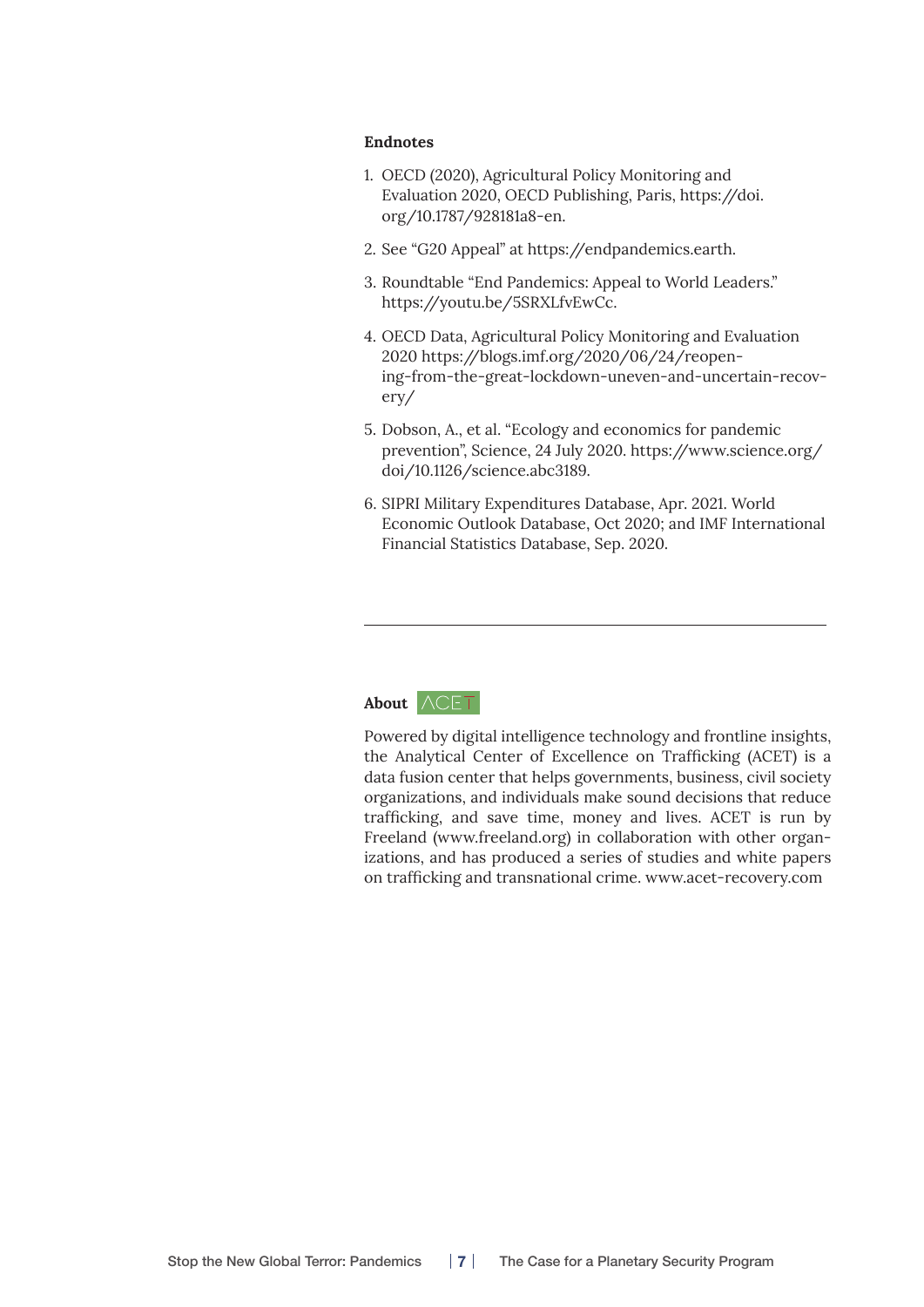#### **Endnotes**

- 1. OECD (2020), Agricultural Policy Monitoring and Evaluation 2020, OECD Publishing, Paris, [https://doi.](https://doi.org/10.1787/928181a8-en) [org/10.1787/928181a8-en](https://doi.org/10.1787/928181a8-en).
- 2. See "G20 Appeal" at <https://endpandemics.earth>.
- 3. Roundtable "End Pandemics: Appeal to World Leaders." <https://youtu.be/5SRXLfvEwCc>.
- 4. OECD Data, Agricultural Policy Monitoring and Evaluation 2020 [https://blogs.imf.org/2020/06/24/reopen](https://blogs.imf.org/2020/06/24/reopening-from-the-great-lockdown-uneven-and-uncertain-recovery/)[ing-from-the-great-lockdown-uneven-and-uncertain-recov](https://blogs.imf.org/2020/06/24/reopening-from-the-great-lockdown-uneven-and-uncertain-recovery/)[ery/](https://blogs.imf.org/2020/06/24/reopening-from-the-great-lockdown-uneven-and-uncertain-recovery/)
- 5. Dobson, A., et al. "Ecology and economics for pandemic prevention", Science, 24 July 2020. [https://www.science.org/](https://www.science.org/doi/10.1126/science.abc3189) [doi/10.1126/science.abc3189](https://www.science.org/doi/10.1126/science.abc3189).
- 6. SIPRI Military Expenditures Database, Apr. 2021. World Economic Outlook Database, Oct 2020; and IMF International Financial Statistics Database, Sep. 2020.

## About  $\wedge$ CET

Powered by digital intelligence technology and frontline insights, the Analytical Center of Excellence on Trafficking (ACET) is a data fusion center that helps governments, business, civil society organizations, and individuals make sound decisions that reduce trafficking, and save time, money and lives. ACET is run by Freeland [\(www.freeland.org](http://www.freeland.org)) in collaboration with other organizations, and has produced a series of studies and white papers on trafficking and transnational crime. [www.acet-recovery.com](http://www.acet-recovery.com)